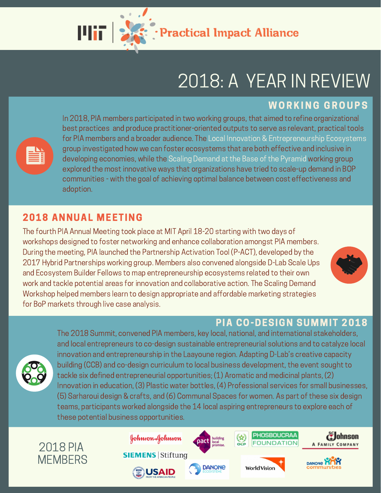**Practical Impact Alliance** 

# 2018: A YEAR IN REVIEW

### WORKING [GROUP](https://impact-alliance.mit.edu/working-groups-publications)S



In 2018, PIA members participated in two working groups, that aimed to refine organizational best practices and produce [practitioner-oriented](https://impact-alliance.mit.edu/working-groups-publications) outputs to serve as relevant, practical tools for PIA members and a broader audience. The Local Innovation & Entrepreneurship Ecosystems group investigated how we can foster ecosystems that are both effective and inclusive in developing economies, while the Scaling Demand at the Base of the Pyramid working group explored the most innovative ways that organizations have tried to scale-up demand in BOP communities - with the goal of achieving optimal balance between cost effectiveness and adoption.

### 2018 ANNUAL [MEETING](https://impact-alliance.mit.edu/news/pia-2018-annual-meeting-reflections-and-looking-ahead)

The fourth PIA Annual Meeting took place at MIT April 18-20 starting with two days of workshops designed to foster networking and enhance collaboration amongst PIA members. During the meeting, PIA launched the Partnership Activation Tool (P-ACT), developed by the 2017 Hybrid Partnerships working group. Members also convened alongside D-Lab Scale Ups and Ecosystem Builder Fellows to map [entrepreneurship](http://d-lab-dev.mit.edu/innovation-practice/communities-practice/innovation-ecosystem-builder-fellowship) ecosystems related to their own work and tackle potential areas for innovation and collaborative action. The Scaling Demand Workshop helped members learn to design appropriate and affordable marketing strategies for BoP markets through live case analysis.



#### PIA [CO-DESIGN](http://news.mit.edu/2019/mit-d-lab-practical-impact-alliance-co-design-summit-0116) SUMMIT 2018



The 2018 Summit, convened PIA members, key local, national, and international stakeholders, and local entrepreneurs to co-design sustainable entrepreneurial solutions and to catalyze local innovation and [entrepreneurship](http://news.mit.edu/2019/mit-d-lab-practical-impact-alliance-co-design-summit-0116) in the Laayoune region. Adapting D-Lab's creative capacity building (CCB) and co-design curriculum to local business development, the event sought to tackle six defined entrepreneurial opportunities; (1) Aromatic and medicinal plants, (2) Innovation in education, (3) Plastic water bottles, (4) Professional services for small businesses, (5) Sarharoui design & crafts, and (6) Communal Spaces for women. As part of these six design teams, participants worked alongside the 14 local aspiring entrepreneurs to explore each of these potential business opportunities.

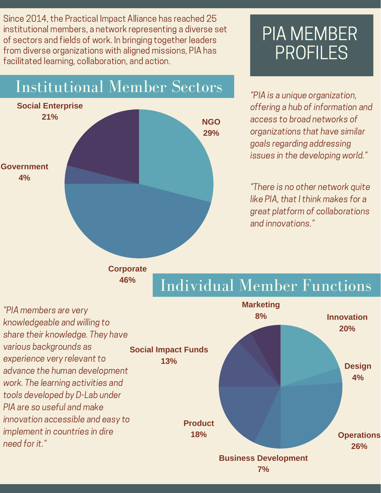Since 2014, the Practical Impact Alliance has reached 25 institutional members, a network representing a diverse set of sectors and fields of work. In bringing together leaders from diverse organizations with aligned missions, PIA has facilitated learning, collaboration, and action.

### Institutional Member Sectors



## PIA MEMBER PROFILES

"PIA is a unique organization, offering a hub of information and access to broad networks of organizations that have similar goals regarding addressing issues in the developing world."

"There is no other network quite like PIA, that I think makes for a great platform of collaborations and innovations."

**46%**